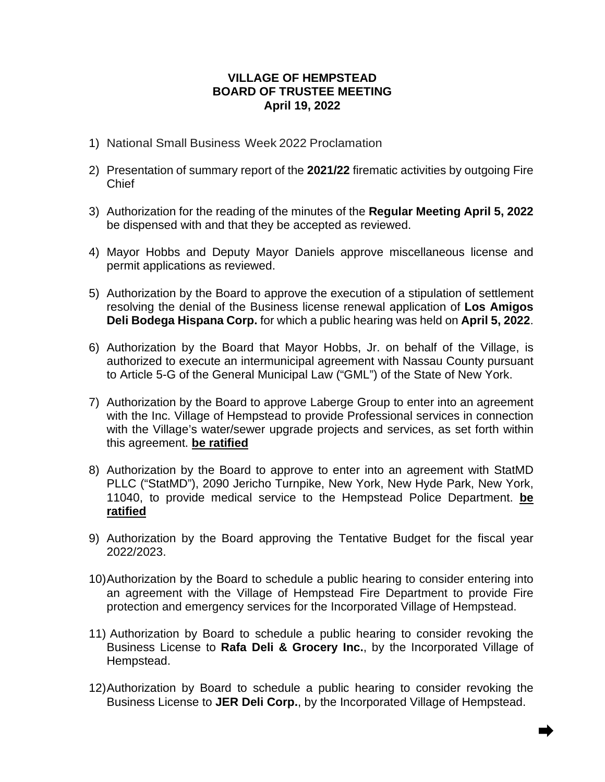## **VILLAGE OF HEMPSTEAD BOARD OF TRUSTEE MEETING April 19, 2022**

- 1) National Small Business Week 2022 Proclamation
- 2) Presentation of summary report of the **2021/22** firematic activities by outgoing Fire Chief
- 3) Authorization for the reading of the minutes of the **Regular Meeting April 5, 2022** be dispensed with and that they be accepted as reviewed.
- 4) Mayor Hobbs and Deputy Mayor Daniels approve miscellaneous license and permit applications as reviewed.
- 5) Authorization by the Board to approve the execution of a stipulation of settlement resolving the denial of the Business license renewal application of **Los Amigos Deli Bodega Hispana Corp.** for which a public hearing was held on **April 5, 2022**.
- 6) Authorization by the Board that Mayor Hobbs, Jr. on behalf of the Village, is authorized to execute an intermunicipal agreement with Nassau County pursuant to Article 5-G of the General Municipal Law ("GML") of the State of New York.
- 7) Authorization by the Board to approve Laberge Group to enter into an agreement with the Inc. Village of Hempstead to provide Professional services in connection with the Village's water/sewer upgrade projects and services, as set forth within this agreement. **be ratified**
- 8) Authorization by the Board to approve to enter into an agreement with StatMD PLLC ("StatMD"), 2090 Jericho Turnpike, New York, New Hyde Park, New York, 11040, to provide medical service to the Hempstead Police Department. **be ratified**
- 9) Authorization by the Board approving the Tentative Budget for the fiscal year 2022/2023.
- 10)Authorization by the Board to schedule a public hearing to consider entering into an agreement with the Village of Hempstead Fire Department to provide Fire protection and emergency services for the Incorporated Village of Hempstead.
- 11) Authorization by Board to schedule a public hearing to consider revoking the Business License to **Rafa Deli & Grocery Inc.**, by the Incorporated Village of Hempstead.
- 12)Authorization by Board to schedule a public hearing to consider revoking the Business License to **JER Deli Corp.**, by the Incorporated Village of Hempstead.